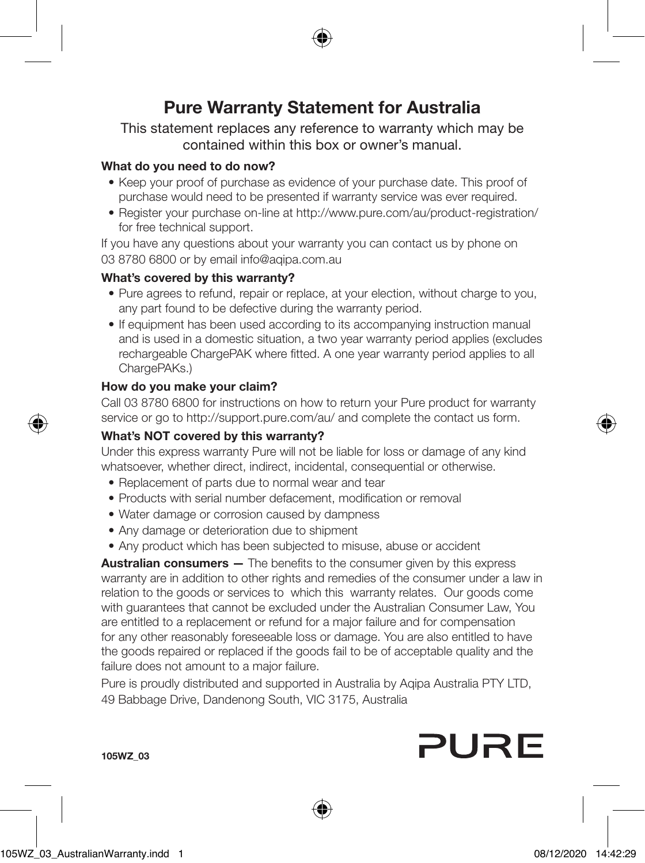

# Pure Warranty Statement for Australia

This statement replaces any reference to warranty which may be contained within this box or owner's manual.

# What do you need to do now?

- Keep your proof of purchase as evidence of your purchase date. This proof of purchase would need to be presented if warranty service was ever required.
- Register your purchase on-line at http://www.pure.com/au/product-registration/ for free technical support.

If you have any questions about your warranty you can contact us by phone on 03 8780 6800 or by email info@agipa.com.au

# What's covered by this warranty?

- Pure agrees to refund, repair or replace, at your election, without charge to you, any part found to be defective during the warranty period.
- If equipment has been used according to its accompanying instruction manual and is used in a domestic situation, a two year warranty period applies (excludes rechargeable ChargePAK where fitted. A one year warranty period applies to all ChargePAKs.)

## How do you make your claim?

Call 03 8780 6800 for instructions on how to return your Pure product for warranty service or go to http://support.pure.com/au/ and complete the contact us form.

# What's NOT covered by this warranty?

Under this express warranty Pure will not be liable for loss or damage of any kind whatsoever, whether direct, indirect, incidental, consequential or otherwise.

- Replacement of parts due to normal wear and tear
- Products with serial number defacement, modification or removal
- Water damage or corrosion caused by dampness
- Any damage or deterioration due to shipment
- Any product which has been subjected to misuse, abuse or accident

**Australian consumers** — The benefits to the consumer given by this express warranty are in addition to other rights and remedies of the consumer under a law in relation to the goods or services to which this warranty relates. Our goods come with guarantees that cannot be excluded under the Australian Consumer Law, You are entitled to a replacement or refund for a major failure and for compensation for any other reasonably foreseeable loss or damage. You are also entitled to have the goods repaired or replaced if the goods fail to be of acceptable quality and the failure does not amount to a major failure.

Pure is proudly distributed and supported in Australia by Aqipa Australia PTY LTD, 49 Babbage Drive, Dandenong South, VIC 3175, Australia

# PURE



٠